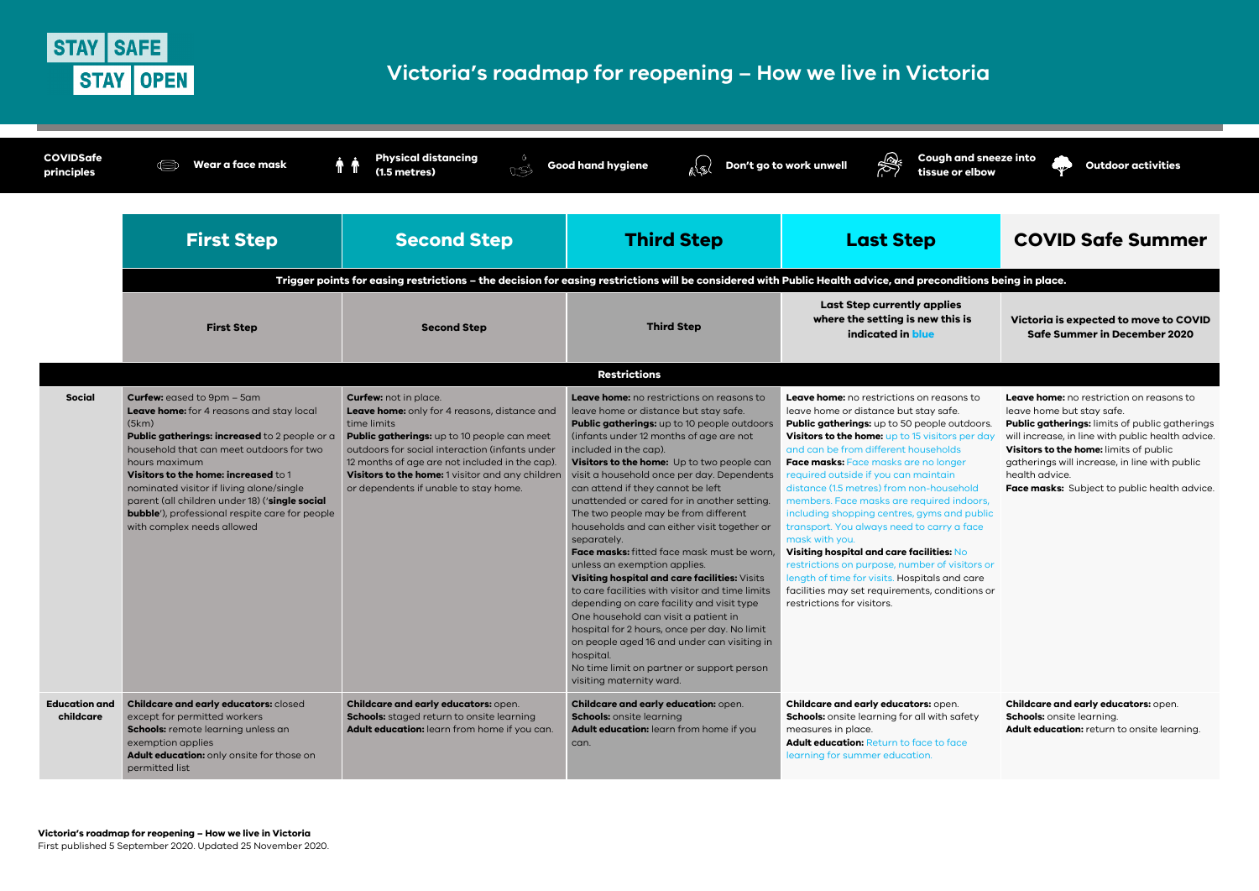

# Victoria's roadmap for reopening - How we live in Victoria

| <b>COVIDSafe</b><br>principles    | Wear a face mask                                                                                                                                                                                                                                                                                                                                                                                                                   | <b>Physical distancing</b><br>$\circ$<br>ጥ ጥ<br>USI<br>$(1.5$ metres)                                                                                                                                                                                                                                                                       | <b>Good hand hygiene</b><br>k <sup>{</sup> S                                                                                                                                                                                                                                                                                                                                                                                                                                                                                                                                                                                                                                                                                                                                                                                                                                                                                                                           | Coug<br>Don't go to work unwell<br>tissue                                                                                                                                                                                                                                                                                                                                                                                                                                                                                                                                                                                                 |  |  |  |
|-----------------------------------|------------------------------------------------------------------------------------------------------------------------------------------------------------------------------------------------------------------------------------------------------------------------------------------------------------------------------------------------------------------------------------------------------------------------------------|---------------------------------------------------------------------------------------------------------------------------------------------------------------------------------------------------------------------------------------------------------------------------------------------------------------------------------------------|------------------------------------------------------------------------------------------------------------------------------------------------------------------------------------------------------------------------------------------------------------------------------------------------------------------------------------------------------------------------------------------------------------------------------------------------------------------------------------------------------------------------------------------------------------------------------------------------------------------------------------------------------------------------------------------------------------------------------------------------------------------------------------------------------------------------------------------------------------------------------------------------------------------------------------------------------------------------|-------------------------------------------------------------------------------------------------------------------------------------------------------------------------------------------------------------------------------------------------------------------------------------------------------------------------------------------------------------------------------------------------------------------------------------------------------------------------------------------------------------------------------------------------------------------------------------------------------------------------------------------|--|--|--|
|                                   | <b>First Step</b>                                                                                                                                                                                                                                                                                                                                                                                                                  | <b>Second Step</b>                                                                                                                                                                                                                                                                                                                          | <b>Third Step</b>                                                                                                                                                                                                                                                                                                                                                                                                                                                                                                                                                                                                                                                                                                                                                                                                                                                                                                                                                      | <b>Last Step</b>                                                                                                                                                                                                                                                                                                                                                                                                                                                                                                                                                                                                                          |  |  |  |
|                                   | Trigger points for easing restrictions - the decision for easing restrictions will be considered with Public Health advice, and preco                                                                                                                                                                                                                                                                                              |                                                                                                                                                                                                                                                                                                                                             |                                                                                                                                                                                                                                                                                                                                                                                                                                                                                                                                                                                                                                                                                                                                                                                                                                                                                                                                                                        |                                                                                                                                                                                                                                                                                                                                                                                                                                                                                                                                                                                                                                           |  |  |  |
|                                   | <b>First Step</b>                                                                                                                                                                                                                                                                                                                                                                                                                  | <b>Second Step</b>                                                                                                                                                                                                                                                                                                                          | <b>Third Step</b>                                                                                                                                                                                                                                                                                                                                                                                                                                                                                                                                                                                                                                                                                                                                                                                                                                                                                                                                                      | <b>Last Step currently appl</b><br>where the setting is new t<br>indicated in blue                                                                                                                                                                                                                                                                                                                                                                                                                                                                                                                                                        |  |  |  |
|                                   | <b>Restrictions</b>                                                                                                                                                                                                                                                                                                                                                                                                                |                                                                                                                                                                                                                                                                                                                                             |                                                                                                                                                                                                                                                                                                                                                                                                                                                                                                                                                                                                                                                                                                                                                                                                                                                                                                                                                                        |                                                                                                                                                                                                                                                                                                                                                                                                                                                                                                                                                                                                                                           |  |  |  |
| <b>Social</b>                     | <b>Curfew:</b> eased to 9pm - 5am<br>Leave home: for 4 reasons and stay local<br>(5km)<br>Public gatherings: increased to 2 people or a<br>household that can meet outdoors for two<br>hours maximum<br>Visitors to the home: increased to 1<br>nominated visitor if living alone/single<br>parent (all children under 18) ('single social<br><b>bubble'</b> ), professional respite care for people<br>with complex needs allowed | <b>Curfew:</b> not in place.<br>Leave home: only for 4 reasons, distance and<br>time limits<br>Public gatherings: up to 10 people can meet<br>outdoors for social interaction (infants under<br>12 months of age are not included in the cap).<br>Visitors to the home: 1 visitor and any children<br>or dependents if unable to stay home. | <b>Leave home:</b> no restrictions on reasons to<br>leave home or distance but stay safe.<br><b>Public gatherings:</b> up to 10 people outdoors<br>(infants under 12 months of age are not<br>included in the cap).<br>Visitors to the home: Up to two people can<br>visit a household once per day. Dependents<br>can attend if they cannot be left<br>unattended or cared for in another setting.<br>The two people may be from different<br>households and can either visit together or<br>separately.<br>Face masks: fitted face mask must be worn,<br>unless an exemption applies.<br>Visiting hospital and care facilities: Visits<br>to care facilities with visitor and time limits<br>depending on care facility and visit type<br>One household can visit a patient in<br>hospital for 2 hours, once per day. No limit<br>on people aged 16 and under can visiting in<br>hospital.<br>No time limit on partner or support person<br>visiting maternity ward. | Leave home: no restrictions on rea<br>leave home or distance but stay so<br>Public gatherings: up to 50 people<br>Visitors to the home: up to 15 visito<br>and can be from different househo<br>Face masks: Face masks are no lo<br>required outside if you can mainta<br>distance (1.5 metres) from non-hou<br>members. Face masks are required<br>including shopping centres, gyms<br>transport. You always need to carr<br>mask with you.<br>Visiting hospital and care facilitie<br>restrictions on purpose, number of<br>length of time for visits. Hospitals o<br>facilities may set requirements, co<br>restrictions for visitors. |  |  |  |
| <b>Education and</b><br>childcare | Childcare and early educators: closed<br>except for permitted workers<br>Schools: remote learning unless an<br>exemption applies<br>Adult education: only onsite for those on<br>permitted list                                                                                                                                                                                                                                    | Childcare and early educators: open.<br>Schools: staged return to onsite learning<br>Adult education: learn from home if you can.                                                                                                                                                                                                           | Childcare and early education: open.<br><b>Schools:</b> onsite learning<br>Adult education: learn from home if you<br>can.                                                                                                                                                                                                                                                                                                                                                                                                                                                                                                                                                                                                                                                                                                                                                                                                                                             | Childcare and early educators: op<br>Schools: onsite learning for all with<br>measures in place.<br><b>Adult education: Return to face to</b><br>learning for summer education.                                                                                                                                                                                                                                                                                                                                                                                                                                                           |  |  |  |

h and sneeze into e or elbow

**Outdoor activities** 

# **COVID Safe Summer**

### nditions being in place.

lies his is:

Victoria is expected to move to COVID Safe Summer in December 2020

asons to afe. outdoors. ors per day blds nger iin l usehold d indoors, and public ry a face

s: No f visitors or

and care onditions or Leave home: no restriction on reasons to leave home but stay safe.

**Public gatherings:** limits of public gatherings will increase, in line with public health advice. Visitors to the home: limits of public gatherings will increase, in line with public health advice.

Face masks: Subject to public health advice.

pen. ı safety

face

Childcare and early educators: open. Schools: onsite learning. Adult education: return to onsite learning.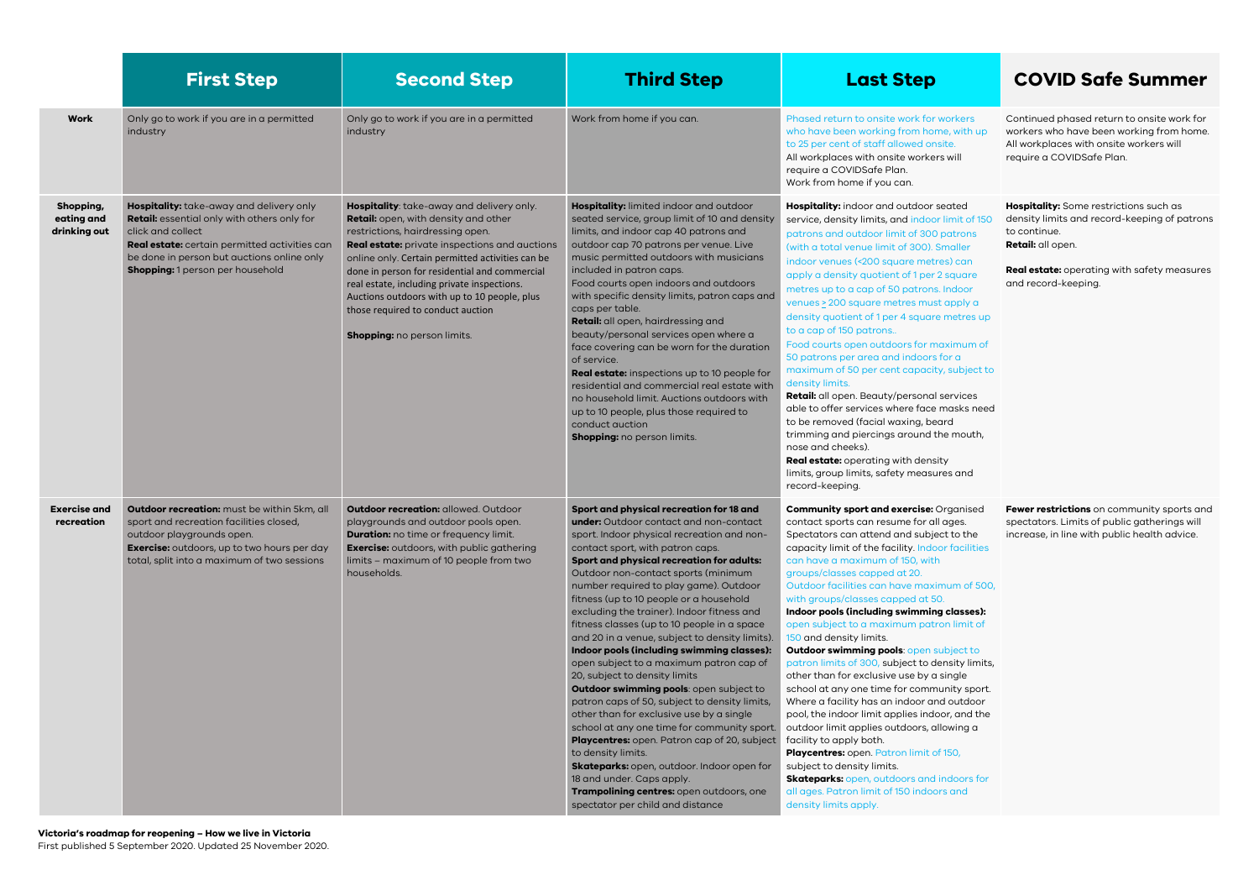|                                         | <b>First Step</b>                                                                                                                                                                                                                               | <b>Second Step</b>                                                                                                                                                                                                                                                                                                                                                                                                                             | <b>Third Step</b>                                                                                                                                                                                                                                                                                                                                                                                                                                                                                                                                                                                                                                                                                                                                                                                                                                                                                                                                                                                                                                     | <b>Last Step</b>                                                                                                                                                                                                                                                                                                                                                                                                                                                                                                                                                                                                                                                                                                                                                                                                                                                                                                   |
|-----------------------------------------|-------------------------------------------------------------------------------------------------------------------------------------------------------------------------------------------------------------------------------------------------|------------------------------------------------------------------------------------------------------------------------------------------------------------------------------------------------------------------------------------------------------------------------------------------------------------------------------------------------------------------------------------------------------------------------------------------------|-------------------------------------------------------------------------------------------------------------------------------------------------------------------------------------------------------------------------------------------------------------------------------------------------------------------------------------------------------------------------------------------------------------------------------------------------------------------------------------------------------------------------------------------------------------------------------------------------------------------------------------------------------------------------------------------------------------------------------------------------------------------------------------------------------------------------------------------------------------------------------------------------------------------------------------------------------------------------------------------------------------------------------------------------------|--------------------------------------------------------------------------------------------------------------------------------------------------------------------------------------------------------------------------------------------------------------------------------------------------------------------------------------------------------------------------------------------------------------------------------------------------------------------------------------------------------------------------------------------------------------------------------------------------------------------------------------------------------------------------------------------------------------------------------------------------------------------------------------------------------------------------------------------------------------------------------------------------------------------|
| <b>Work</b>                             | Only go to work if you are in a permitted<br>industry                                                                                                                                                                                           | Only go to work if you are in a permitted<br>industry                                                                                                                                                                                                                                                                                                                                                                                          | Work from home if you can.                                                                                                                                                                                                                                                                                                                                                                                                                                                                                                                                                                                                                                                                                                                                                                                                                                                                                                                                                                                                                            | Phased return to onsite work for wo<br>who have been working from home<br>to 25 per cent of staff allowed onsit<br>All workplaces with onsite workers v<br>require a COVIDSafe Plan.<br>Work from home if you can.                                                                                                                                                                                                                                                                                                                                                                                                                                                                                                                                                                                                                                                                                                 |
| Shopping,<br>eating and<br>drinking out | Hospitality: take-away and delivery only<br>Retail: essential only with others only for<br>click and collect<br>Real estate: certain permitted activities can<br>be done in person but auctions online only<br>Shopping: 1 person per household | Hospitality: take-away and delivery only.<br>Retail: open, with density and other<br>restrictions, hairdressing open.<br>Real estate: private inspections and auctions<br>online only. Certain permitted activities can be<br>done in person for residential and commercial<br>real estate, including private inspections.<br>Auctions outdoors with up to 10 people, plus<br>those required to conduct auction<br>Shopping: no person limits. | Hospitality: limited indoor and outdoor<br>seated service, group limit of 10 and density<br>limits, and indoor cap 40 patrons and<br>outdoor cap 70 patrons per venue. Live<br>music permitted outdoors with musicians<br>included in patron caps.<br>Food courts open indoors and outdoors<br>with specific density limits, patron caps and<br>caps per table.<br>Retail: all open, hairdressing and<br>beauty/personal services open where a<br>face covering can be worn for the duration<br>of service.<br>Real estate: inspections up to 10 people for<br>residential and commercial real estate with<br>no household limit. Auctions outdoors with<br>up to 10 people, plus those required to<br>conduct quction<br>Shopping: no person limits.                                                                                                                                                                                                                                                                                                 | Hospitality: indoor and outdoor sed<br>service, density limits, and indoor li<br>patrons and outdoor limit of 300 po<br>(with a total venue limit of 300). Sm<br>indoor venues (<200 square metres<br>apply a density quotient of 1 per 2 s<br>metres up to a cap of 50 patrons. In<br>venues > 200 square metres must a<br>density quotient of 1 per 4 square n<br>to a cap of 150 patrons<br>Food courts open outdoors for max<br>50 patrons per area and indoors fo<br>maximum of 50 per cent capacity,<br>density limits.<br>Retail: all open. Beauty/personal se<br>able to offer services where face m<br>to be removed (facial waxing, beard<br>trimming and piercings around the<br>nose and cheeks).<br>Real estate: operating with density<br>limits, group limits, safety measures<br>record-keeping.                                                                                                   |
| <b>Exercise and</b><br>recreation       | Outdoor recreation: must be within 5km, all<br>sport and recreation facilities closed,<br>outdoor playgrounds open.<br><b>Exercise:</b> outdoors, up to two hours per day<br>total, split into a maximum of two sessions                        | <b>Outdoor recreation: allowed. Outdoor</b><br>playgrounds and outdoor pools open.<br><b>Duration:</b> no time or frequency limit.<br><b>Exercise:</b> outdoors, with public gathering<br>limits - maximum of 10 people from two<br>households.                                                                                                                                                                                                | Sport and physical recreation for 18 and<br><b>under:</b> Outdoor contact and non-contact<br>sport. Indoor physical recreation and non-<br>contact sport, with patron caps.<br>Sport and physical recreation for adults:<br>Outdoor non-contact sports (minimum<br>number required to play game). Outdoor<br>fitness (up to 10 people or a household<br>excluding the trainer). Indoor fitness and<br>fitness classes (up to 10 people in a space<br>and 20 in a venue, subject to density limits).<br>Indoor pools (including swimming classes):<br>open subject to a maximum patron cap of<br>20, subject to density limits<br>Outdoor swimming pools: open subject to<br>patron caps of 50, subject to density limits,<br>other than for exclusive use by a single<br>school at any one time for community sport.<br>Playcentres: open. Patron cap of 20, subject<br>to density limits.<br>Skateparks: open, outdoor. Indoor open for<br>18 and under. Caps apply.<br>Trampolining centres: open outdoors, one<br>spectator per child and distance | <b>Community sport and exercise: Org</b><br>contact sports can resume for all a<br>Spectators can attend and subject<br>capacity limit of the facility. Indoor<br>can have a maximum of 150, with<br>groups/classes capped at 20.<br>Outdoor facilities can have maximu<br>with groups/classes capped at 50.<br>Indoor pools (including swimming a<br>open subject to a maximum patror<br>150 and density limits.<br>Outdoor swimming pools: open sub<br>patron limits of 300, subject to den<br>other than for exclusive use by a sir<br>school at any one time for commun<br>Where a facility has an indoor and<br>pool, the indoor limit applies indoor<br>outdoor limit applies outdoors, allo<br>facility to apply both.<br>Playcentres: open. Patron limit of 15<br>subject to density limits.<br><b>Skateparks:</b> open, outdoors and in<br>all ages. Patron limit of 150 indoors<br>density limits apply. |

# **COVID Safe Summer**

orkers , with up ė. will

Continued phased return to onsite work for workers who have been working from home. All workplaces with onsite workers will require a COVIDSafe Plan.

ated imit of 150 atrons naller s) can square ndoor apply a netres up

Hospitality: Some restrictions such as density limits and record-keeping of patrons to continue. Retail: all open.

Real estate: operating with safety measures and record-keeping.

ximum of  $rac{1}{2}$ subject to

ervices aasks need d. e mouth,

s and

ganised iges. t to the facilities<sup>-</sup> Fewer restrictions on community sports and spectators. Limits of public gatherings will increase, in line with public health advice.

### um of 500,

classes): limit of

#### pject to

nsity limits, ingle nity sport. outdoor r, and the wing a

50,

doors for  $s$  and